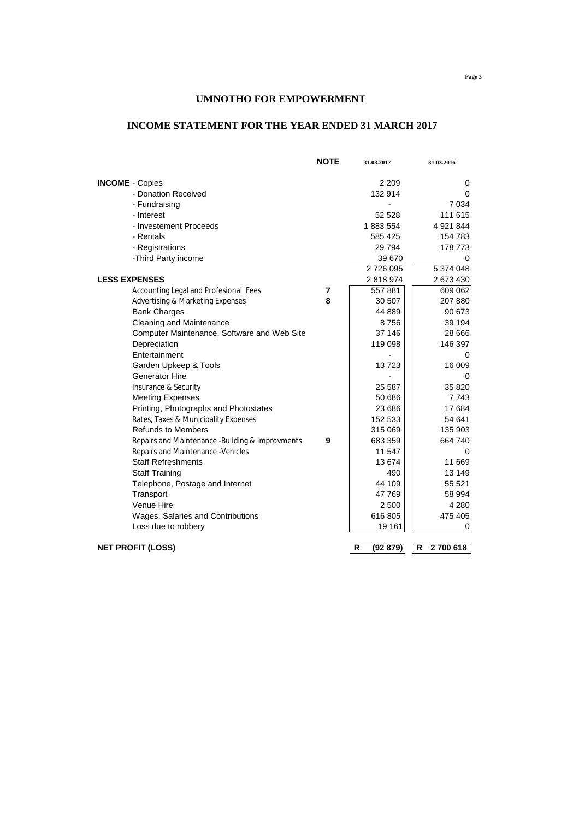# **INCOME STATEMENT FOR THE YEAR ENDED 31 MARCH 2017**

|                                                  | <b>NOTE</b> | 31.03.2017    | 31.03.2016   |
|--------------------------------------------------|-------------|---------------|--------------|
| <b>INCOME</b> - Copies                           |             | 2 2 0 9       | 0            |
| - Donation Received                              |             | 132 914       | 0            |
| - Fundraising                                    |             |               | 7 0 34       |
| - Interest                                       |             | 52 528        | 111 615      |
| - Investement Proceeds                           |             | 1883554       | 4 9 21 8 44  |
| - Rentals                                        |             | 585 425       | 154 783      |
| - Registrations                                  |             | 29 7 94       | 178 773      |
| -Third Party income                              |             | 39 670        | 0            |
|                                                  |             | 2726095       | 5 374 048    |
| <b>LESS EXPENSES</b>                             |             | 2818974       | 2 673 430    |
| Accounting Legal and Profesional Fees            | 7           | 557881        | 609 062      |
| <b>Advertising &amp; Marketing Expenses</b>      | 8           | 30 507        | 207 880      |
| <b>Bank Charges</b>                              |             | 44 889        | 90 673       |
| Cleaning and Maintenance                         |             | 8756          | 39 194       |
| Computer Maintenance, Software and Web Site      |             | 37 146        | 28 6 66      |
| Depreciation                                     |             | 119 098       | 146 397      |
| Entertainment                                    |             |               | 0            |
| Garden Upkeep & Tools                            |             | 13723         | 16 009       |
| Generator Hire                                   |             |               | 0            |
| Insurance & Security                             |             | 25 5 87       | 35 820       |
| <b>Meeting Expenses</b>                          |             | 50 686        | 7743         |
| Printing, Photographs and Photostates            |             | 23 686        | 17 684       |
| Rates, Taxes & Municipality Expenses             |             | 152 533       | 54 641       |
| <b>Refunds to Members</b>                        |             | 315 069       | 135 903      |
| Repairs and Maintenance - Building & Improvments | 9           | 683 359       | 664 740      |
| Repairs and Maintenance - Vehicles               |             | 11 547        |              |
| <b>Staff Refreshments</b>                        |             | 13674         | 11 669       |
| <b>Staff Training</b>                            |             | 490           | 13 149       |
| Telephone, Postage and Internet                  |             | 44 109        | 55 521       |
| Transport                                        |             | 47 769        | 58 994       |
| Venue Hire                                       |             | 2 500         | 4 2 8 0      |
| Wages, Salaries and Contributions                |             | 616 805       | 475 405      |
| Loss due to robbery                              |             | 19 161        | 0            |
| <b>NET PROFIT (LOSS)</b>                         |             | R<br>(92 879) | R<br>2700618 |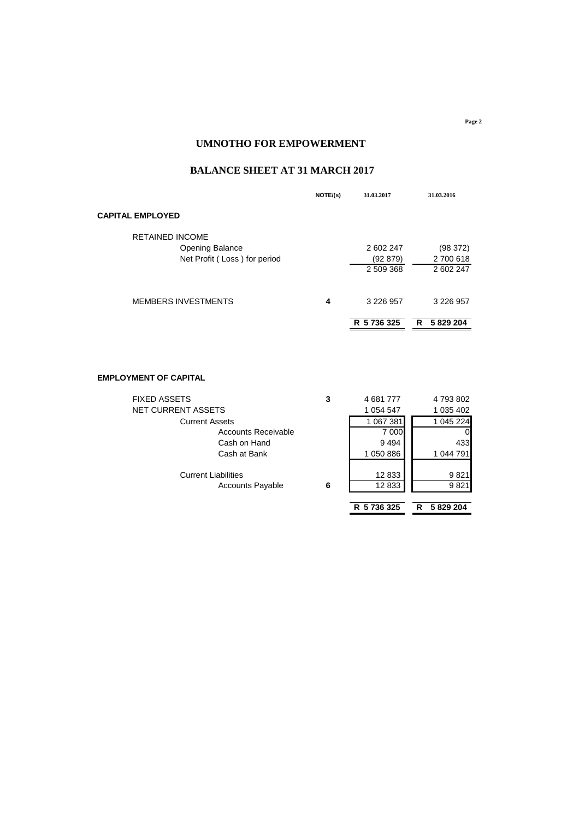# **BALANCE SHEET AT 31 MARCH 2017**

|                              | NOTE/(s) | 31.03.2017    | 31.03.2016    |
|------------------------------|----------|---------------|---------------|
| <b>CAPITAL EMPLOYED</b>      |          |               |               |
| <b>RETAINED INCOME</b>       |          |               |               |
| <b>Opening Balance</b>       |          | 2 602 247     | (98 372)      |
| Net Profit (Loss) for period |          | (92 879)      | 2 700 618     |
|                              |          | 2 509 368     | 2 602 247     |
| <b>MEMBERS INVESTMENTS</b>   | 4        | 3 2 2 6 9 5 7 | 3 2 2 6 9 5 7 |
|                              |          | R 5 736 325   | 5829204<br>R  |

## **EMPLOYMENT OF CAPITAL**

| <b>FIXED ASSETS</b>        | 3 | 4681777     | 4 793 802    |
|----------------------------|---|-------------|--------------|
| NET CURRENT ASSETS         |   | 1 054 547   | 1 035 402    |
| <b>Current Assets</b>      |   | 1 067 381   | 1 045 224    |
| Accounts Receivable        |   | 7 000       | 01           |
| Cash on Hand               |   | 9494        | 433          |
| Cash at Bank               |   | 1 050 886   | 1 044 791    |
| <b>Current Liabilities</b> |   | 12 833      | 9821         |
| <b>Accounts Payable</b>    | 6 | 12833       | 9821         |
|                            |   |             |              |
|                            |   | R 5 736 325 | 5829204<br>R |

**Page 2**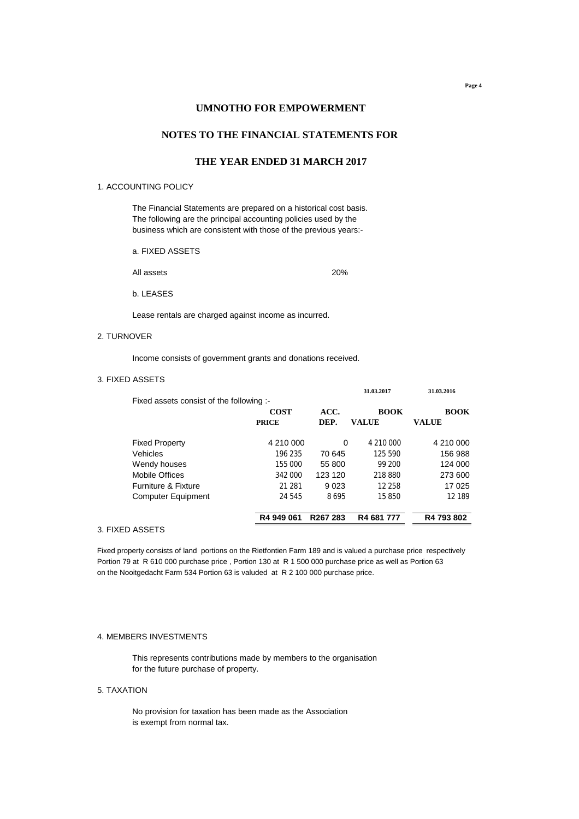# **NOTES TO THE FINANCIAL STATEMENTS FOR**

# **THE YEAR ENDED 31 MARCH 2017**

### 1. ACCOUNTING POLICY

The Financial Statements are prepared on a historical cost basis. The following are the principal accounting policies used by the business which are consistent with those of the previous years:-

a. FIXED ASSETS

All assets 20%

b. LEASES

Lease rentals are charged against income as incurred.

#### 2. TURNOVER

Income consists of government grants and donations received.

#### 3. FIXED ASSETS

|                                          |              |                      | 31.03.2017  | 31.03.2016  |
|------------------------------------------|--------------|----------------------|-------------|-------------|
| Fixed assets consist of the following :- |              |                      |             |             |
|                                          | <b>COST</b>  | ACC.                 | <b>BOOK</b> | <b>BOOK</b> |
|                                          | <b>PRICE</b> | DEP.                 | VALUE       | VALUE       |
| <b>Fixed Property</b>                    | 4 210 000    | $\Omega$             | 4 210 000   | 4 210 000   |
| Vehicles                                 | 196 235      | 70 645               | 125 590     | 156 988     |
| Wendy houses                             | 155 000      | 55 800               | 99 200      | 124 000     |
| Mobile Offices                           | 342 000      | 123 120              | 218 880     | 273 600     |
| <b>Furniture &amp; Fixture</b>           | 21 281       | 9023                 | 12 258      | 17 025      |
| <b>Computer Equipment</b>                | 24 545       | 8695                 | 15850       | 12 189      |
|                                          | R4 949 061   | R <sub>267</sub> 283 | R4 681 777  | R4 793 802  |
| 'N ACCETO                                |              |                      |             |             |

#### 3. FIXED ASSETS

Fixed property consists of land portions on the Rietfontien Farm 189 and is valued a purchase price respectively Portion 79 at R 610 000 purchase price , Portion 130 at R 1 500 000 purchase price as well as Portion 63 on the Nooitgedacht Farm 534 Portion 63 is valuded at R 2 100 000 purchase price.

#### 4. MEMBERS INVESTMENTS

This represents contributions made by members to the organisation for the future purchase of property.

#### 5. TAXATION

No provision for taxation has been made as the Association is exempt from normal tax.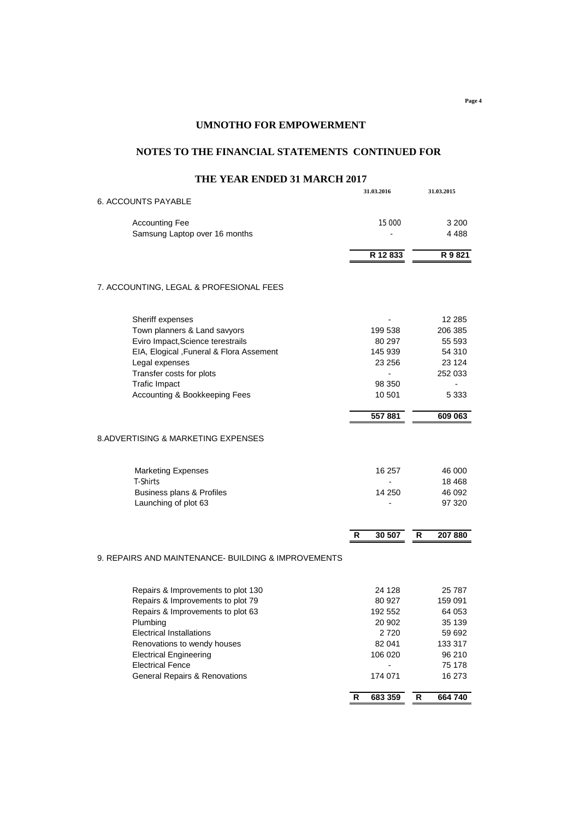**Page 4**

## **UMNOTHO FOR EMPOWERMENT**

## **NOTES TO THE FINANCIAL STATEMENTS CONTINUED FOR**

# **31.03.2016 31.03.2015** 6. ACCOUNTS PAYABLE Accounting Fee 3 200 Samsung Laptop over 16 months **6 and 18 and 18 and 18 and 18 and 18 and 18 and 18 and 18 and 18 and 18 and 18 and 18 and 18 and 18 and 18 and 18 and 18 and 18 and 18 and 18 and 18 and 18 and 18 and 18 and 18 and 18 and 18 R 12 833 R 9 821** 7. ACCOUNTING, LEGAL & PROFESIONAL FEES Sheriff expenses and the state of the state of the state of the state of the state of the state of the state of the state of the state of the state of the state of the state of the state of the state of the state of the st Town planners & Land savyors 199 538 206 385 Eviro Impact,Science terestrails 80 297 55 593 EIA, Elogical ,Funeral & Flora Assement 145 939 54 310 Legal expenses 23 256 23 124 Transfer costs for plots and the cost of plots of the costs for plots and the cost of the costs for plots of the cost of the costs of the costs of the costs of the costs of the costs of the costs of the costs of the costs Trafic Impact 10 08 350<br>Accounting & Bookkeeping Fees 10 501 5333 Accounting & Bookkeeping Fees 10 501  **557 881 609 063** 8.ADVERTISING & MARKETING EXPENSES Marketing Expenses 16 257 46 000 T-Shirts - 18 468 Business plans & Profiles 14 250 46 092 Launching of plot 63 and 100 set of 100 set of 100 set of 100 set of 100 set of 100 set of 100 set of 100 set o **R 30 507 R 207 880** 9. REPAIRS AND MAINTENANCE- BUILDING & IMPROVEMENTS Repairs & Improvements to plot 130 24 128 25 787 Repairs & Improvements to plot 79 80 927 159 091 Repairs & Improvements to plot 63 192 552 64 053 Plumbing 20 902 35 139 Electrical Installations 2720 59692 Renovations to wendy houses and the set of the set of the set of the set of the set of the set of the set of the set of the set of the set of the set of the set of the set of the set of the set of the set of the set of the Electrical Engineering 106 020 96 210 Electrical Fence 75 178 General Repairs & Renovations 174 071 16 273 **R 683 359 R 664 740**

## **THE YEAR ENDED 31 MARCH 2017**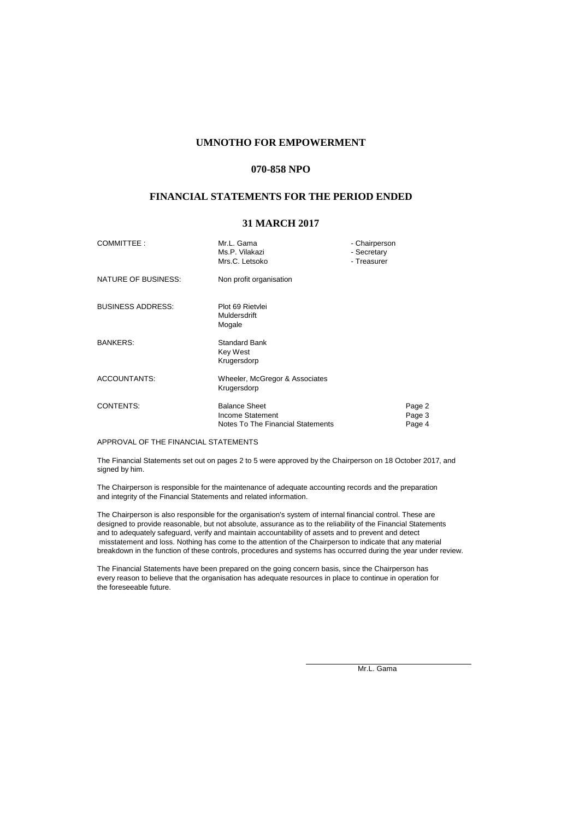#### **070-858 NPO**

## **FINANCIAL STATEMENTS FOR THE PERIOD ENDED**

## **31 MARCH 2017**

| COMMITTEE:               | Mr.L. Gama<br>Ms.P. Vilakazi<br>Mrs.C. Letsoko                                | - Chairperson<br>- Secretary<br>- Treasurer |                            |
|--------------------------|-------------------------------------------------------------------------------|---------------------------------------------|----------------------------|
| NATURE OF BUSINESS:      | Non profit organisation                                                       |                                             |                            |
| <b>BUSINESS ADDRESS:</b> | Plot 69 Rietvlei<br>Muldersdrift<br>Mogale                                    |                                             |                            |
| <b>BANKERS:</b>          | Standard Bank<br>Key West<br>Krugersdorp                                      |                                             |                            |
| <b>ACCOUNTANTS:</b>      | Wheeler, McGregor & Associates<br>Krugersdorp                                 |                                             |                            |
| <b>CONTENTS:</b>         | <b>Balance Sheet</b><br>Income Statement<br>Notes To The Financial Statements |                                             | Page 2<br>Page 3<br>Page 4 |

APPROVAL OF THE FINANCIAL STATEMENTS

The Financial Statements set out on pages 2 to 5 were approved by the Chairperson on 18 October 2017, and signed by him.

The Chairperson is responsible for the maintenance of adequate accounting records and the preparation and integrity of the Financial Statements and related information.

The Chairperson is also responsible for the organisation's system of internal financial control. These are designed to provide reasonable, but not absolute, assurance as to the reliability of the Financial Statements and to adequately safeguard, verify and maintain accountability of assets and to prevent and detect misstatement and loss. Nothing has come to the attention of the Chairperson to indicate that any material breakdown in the function of these controls, procedures and systems has occurred during the year under review.

The Financial Statements have been prepared on the going concern basis, since the Chairperson has every reason to believe that the organisation has adequate resources in place to continue in operation for the foreseeable future.

Mr.L. Gama